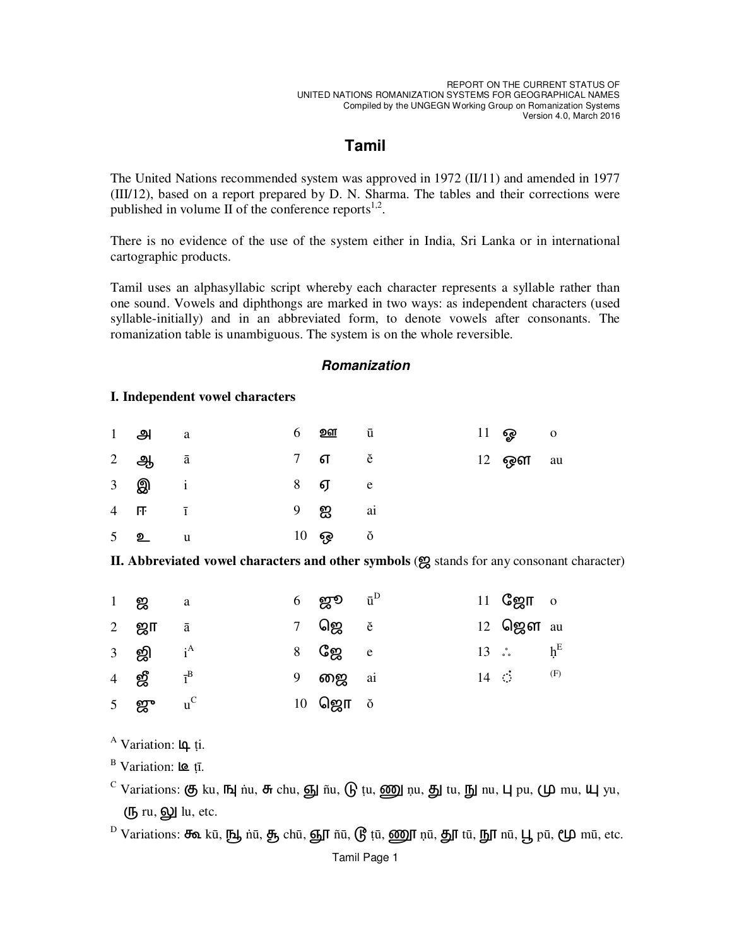# **Tamil**

The United Nations recommended system was approved in 1972 ( $II/11$ ) and amended in 1977 (III/12), based on a report prepared by D. N. Sharma. The tables and their corrections were published in volume II of the conference reports $^{1,2}$ .

There is no evidence of the use of the system either in India, Sri Lanka or in international cartographic products.

Tamil uses an alphasyllabic script whereby each character represents a syllable rather than one sound. Vowels and diphthongs are marked in two ways: as independent characters (used syllable-initially) and in an abbreviated form, to denote vowels after consonants. The romanization table is unambiguous. The system is on the whole reversible.

### **Romanization**

#### I. Independent vowel characters

|                      | $1$ $21$ a               |  | 6 <b>porr</b> u                   |  | $11 \circledcirc$ 0 |  |
|----------------------|--------------------------|--|-----------------------------------|--|---------------------|--|
|                      | $2$ $a$ $\bar{a}$        |  | $7 \quad \text{f} \quad \text{e}$ |  | 12 <b>ஒள</b> au     |  |
| 3 <b>இ</b>           | $\mathbf{i}$             |  | $8$ $\sigma$ e                    |  |                     |  |
| $4 \quad \mathsf{F}$ | $\overline{1}$           |  | 9 <b>ஐ</b> ai                     |  |                     |  |
|                      | $5$ <b>2</b><br><b>u</b> |  | $10$ ஒ $\delta$                   |  |                     |  |

II. Abbreviated vowel characters and other symbols (g stands for any consonant character)

| $1 \tB$ a                                |  | $6$ ஜூ $\bar{u}^D$ |  | $11$ Седп о          |  |
|------------------------------------------|--|--------------------|--|----------------------|--|
| 2 $\mathbf{g}$ n $\bar{a}$               |  |                    |  | 12 $\log$ or au      |  |
| 3 ஜி $i^A$                               |  | 8 <b>C</b> gg e    |  | 13 $\cdot$ $h^E$     |  |
| 4 $\mathbf{g}^{\text{B}}$ $I^{\text{B}}$ |  | 9 <b>றை</b> ai     |  | 14 $\dot{\circ}$ (F) |  |
| 5 $gr$ $u^C$                             |  | 10 $\mathbf{Q}$    |  |                      |  |

A Variation: 4 ți.

<sup>B</sup> Variation:  $\text{IQ}$  tī.

- C Variations:  $\circledast$  ku,  $\circledast$  nu,  $\circledast$  chu,  $\circledast$  ñu,  $\circledast$  tu,  $\circledast$  nu,  $\circledast$  nu,  $\circledast$  pu,  $\circledast$  mu,  $\circledast$  yu, (<sup>[5]</sup> ru, **6**) lu, etc.
- <sup>D</sup> Variations: சீவ kū, நூ nū, சூ chū, ஞூ ñū, டூ tū, ணூ nū, தூ tū, நூ nū, பூ pū, மூ mū, etc.